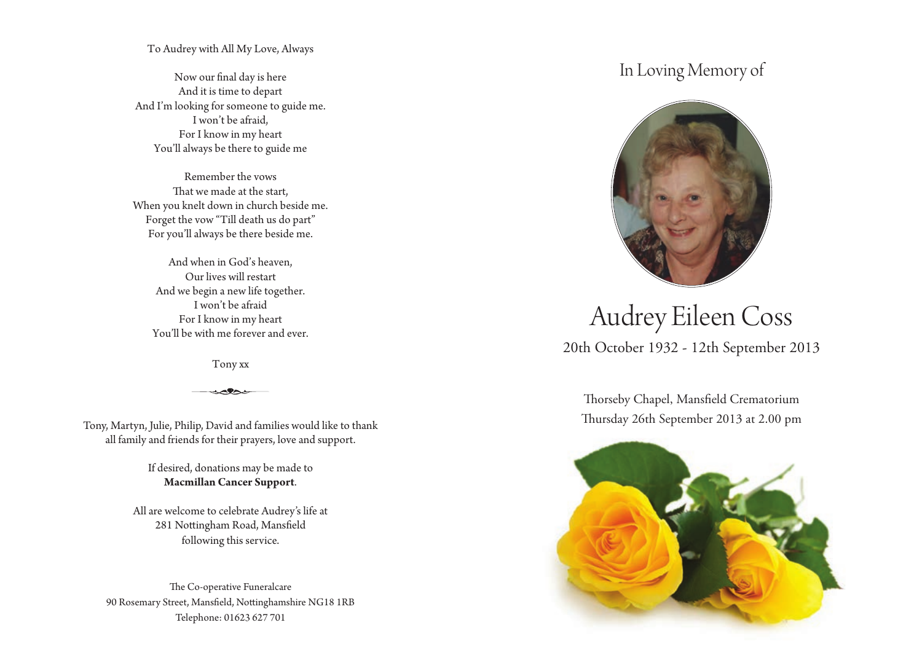To Audrey with All My Love, Always

Now our final day is here And it is time to depart And I'm looking for someone to guide me. I won't be afraid, For I know in my heart You'll always be there to guide me

Remember the vows That we made at the start, When you knelt down in church beside me. Forget the vow "Till death us do part" For you'll always be there beside me.

And when in God's heaven, Our lives will restart And we begin a new life together. I won't be afraid For I know in my heart You'll be with me forever and ever.

Tony xx

Tony, Martyn, Julie, Philip, David and families would like to thank all family and friends for their prayers, love and support.

> If desired, donations may be made to **Macmillan Cancer Support**.

All are welcome to celebrate Audrey's life at 281 Nottingham Road, Mansfield following this service.

The Co-operative Funeralcare 90 Rosemary Street, Mansfield, Nottinghamshire NG18 1RB Telephone: 01623 627 701

## In Loving Memory of



# 20th October 1932 - 12th September 2013 Audrey Eileen Coss

Thorseby Chapel, Mansfield Crematorium Thursday 26th September 2013 at 2.00 pm